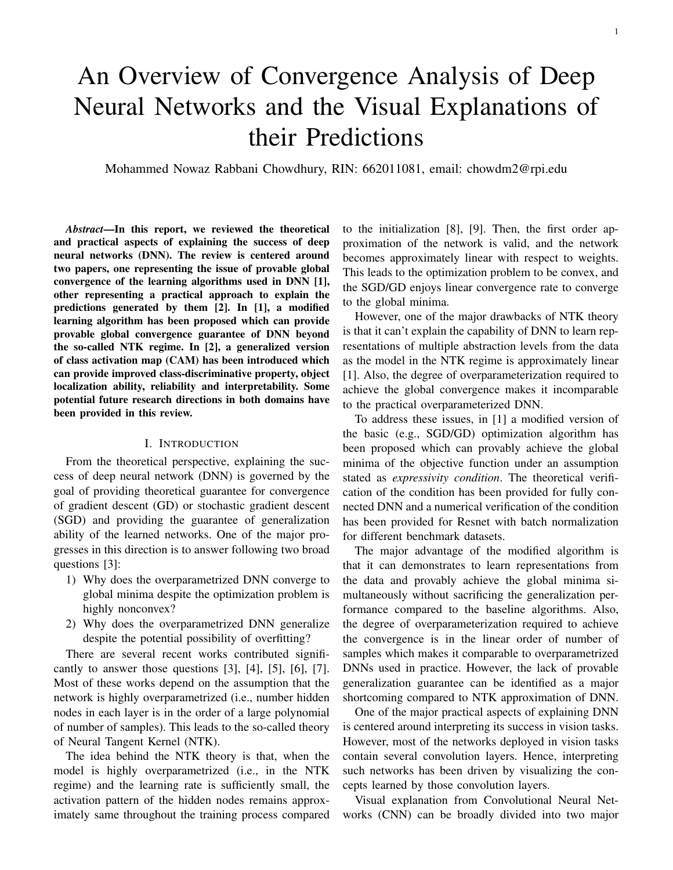# An Overview of Convergence Analysis of Deep Neural Networks and the Visual Explanations of their Predictions

Mohammed Nowaz Rabbani Chowdhury, RIN: 662011081, email: chowdm2@rpi.edu

*Abstract*—In this report, we reviewed the theoretical and practical aspects of explaining the success of deep neural networks (DNN). The review is centered around two papers, one representing the issue of provable global convergence of the learning algorithms used in DNN [1], other representing a practical approach to explain the predictions generated by them [2]. In [1], a modified learning algorithm has been proposed which can provide provable global convergence guarantee of DNN beyond the so-called NTK regime. In [2], a generalized version of class activation map (CAM) has been introduced which can provide improved class-discriminative property, object localization ability, reliability and interpretability. Some potential future research directions in both domains have been provided in this review.

#### I. INTRODUCTION

From the theoretical perspective, explaining the success of deep neural network (DNN) is governed by the goal of providing theoretical guarantee for convergence of gradient descent (GD) or stochastic gradient descent (SGD) and providing the guarantee of generalization ability of the learned networks. One of the major progresses in this direction is to answer following two broad questions [3]:

- 1) Why does the overparametrized DNN converge to global minima despite the optimization problem is highly nonconvex?
- 2) Why does the overparametrized DNN generalize despite the potential possibility of overfitting?

There are several recent works contributed significantly to answer those questions  $[3]$ ,  $[4]$ ,  $[5]$ ,  $[6]$ ,  $[7]$ . Most of these works depend on the assumption that the network is highly overparametrized (i.e., number hidden nodes in each layer is in the order of a large polynomial of number of samples). This leads to the so-called theory of Neural Tangent Kernel (NTK).

The idea behind the NTK theory is that, when the model is highly overparametrized (i.e., in the NTK regime) and the learning rate is sufficiently small, the activation pattern of the hidden nodes remains approximately same throughout the training process compared to the initialization [8], [9]. Then, the first order approximation of the network is valid, and the network becomes approximately linear with respect to weights. This leads to the optimization problem to be convex, and the SGD/GD enjoys linear convergence rate to converge to the global minima.

However, one of the major drawbacks of NTK theory is that it can't explain the capability of DNN to learn representations of multiple abstraction levels from the data as the model in the NTK regime is approximately linear [1]. Also, the degree of overparameterization required to achieve the global convergence makes it incomparable to the practical overparameterized DNN.

To address these issues, in [1] a modified version of the basic (e.g., SGD/GD) optimization algorithm has been proposed which can provably achieve the global minima of the objective function under an assumption stated as *expressivity condition*. The theoretical verification of the condition has been provided for fully connected DNN and a numerical verification of the condition has been provided for Resnet with batch normalization for different benchmark datasets.

The major advantage of the modified algorithm is that it can demonstrates to learn representations from the data and provably achieve the global minima simultaneously without sacrificing the generalization performance compared to the baseline algorithms. Also, the degree of overparameterization required to achieve the convergence is in the linear order of number of samples which makes it comparable to overparametrized DNNs used in practice. However, the lack of provable generalization guarantee can be identified as a major shortcoming compared to NTK approximation of DNN.

One of the major practical aspects of explaining DNN is centered around interpreting its success in vision tasks. However, most of the networks deployed in vision tasks contain several convolution layers. Hence, interpreting such networks has been driven by visualizing the concepts learned by those convolution layers.

Visual explanation from Convolutional Neural Networks (CNN) can be broadly divided into two major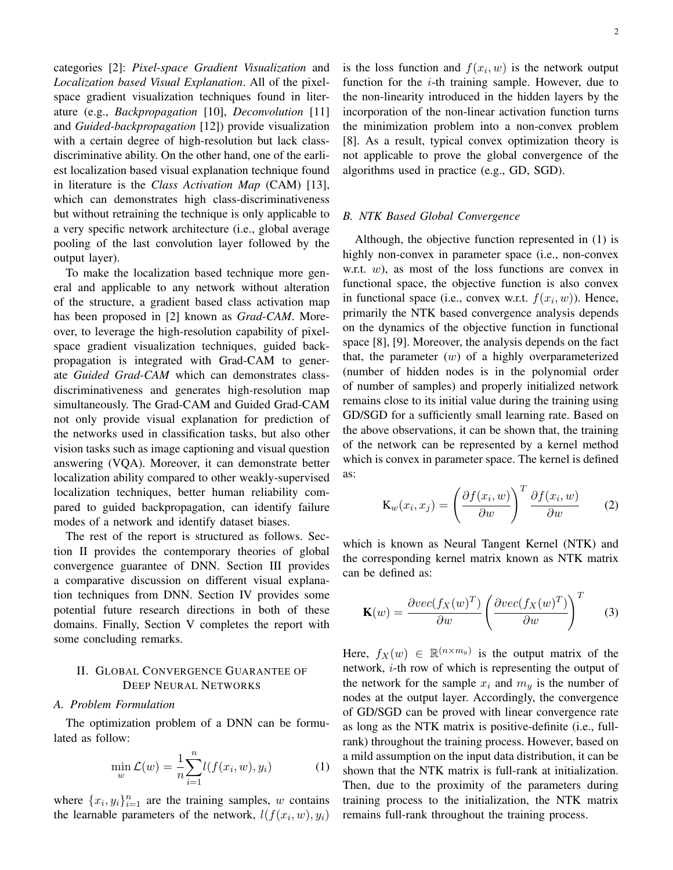categories [2]: *Pixel-space Gradient Visualization* and *Localization based Visual Explanation*. All of the pixelspace gradient visualization techniques found in literature (e.g., *Backpropagation* [10], *Deconvolution* [11] and *Guided-backpropagation* [12]) provide visualization with a certain degree of high-resolution but lack classdiscriminative ability. On the other hand, one of the earliest localization based visual explanation technique found in literature is the *Class Activation Map* (CAM) [13], which can demonstrates high class-discriminativeness but without retraining the technique is only applicable to a very specific network architecture (i.e., global average pooling of the last convolution layer followed by the output layer).

To make the localization based technique more general and applicable to any network without alteration of the structure, a gradient based class activation map has been proposed in [2] known as *Grad-CAM*. Moreover, to leverage the high-resolution capability of pixelspace gradient visualization techniques, guided backpropagation is integrated with Grad-CAM to generate *Guided Grad-CAM* which can demonstrates classdiscriminativeness and generates high-resolution map simultaneously. The Grad-CAM and Guided Grad-CAM not only provide visual explanation for prediction of the networks used in classification tasks, but also other vision tasks such as image captioning and visual question answering (VQA). Moreover, it can demonstrate better localization ability compared to other weakly-supervised localization techniques, better human reliability compared to guided backpropagation, can identify failure modes of a network and identify dataset biases.

The rest of the report is structured as follows. Section II provides the contemporary theories of global convergence guarantee of DNN. Section III provides a comparative discussion on different visual explanation techniques from DNN. Section IV provides some potential future research directions in both of these domains. Finally, Section V completes the report with some concluding remarks.

# II. GLOBAL CONVERGENCE GUARANTEE OF DEEP NEURAL NETWORKS

#### *A. Problem Formulation*

The optimization problem of a DNN can be formulated as follow:

$$
\min_{w} \mathcal{L}(w) = \frac{1}{n} \sum_{i=1}^{n} l(f(x_i, w), y_i)
$$
 (1)

where  $\{x_i, y_i\}_{i=1}^n$  are the training samples, w contains the learnable parameters of the network,  $l(f(x_i, w), y_i)$ 

is the loss function and  $f(x_i, w)$  is the network output function for the  $i$ -th training sample. However, due to the non-linearity introduced in the hidden layers by the incorporation of the non-linear activation function turns the minimization problem into a non-convex problem [8]. As a result, typical convex optimization theory is not applicable to prove the global convergence of the algorithms used in practice (e.g., GD, SGD).

## *B. NTK Based Global Convergence*

Although, the objective function represented in (1) is highly non-convex in parameter space (i.e., non-convex w.r.t.  $w$ ), as most of the loss functions are convex in functional space, the objective function is also convex in functional space (i.e., convex w.r.t.  $f(x_i, w)$ ). Hence, primarily the NTK based convergence analysis depends on the dynamics of the objective function in functional space [8], [9]. Moreover, the analysis depends on the fact that, the parameter  $(w)$  of a highly overparameterized (number of hidden nodes is in the polynomial order of number of samples) and properly initialized network remains close to its initial value during the training using GD/SGD for a sufficiently small learning rate. Based on the above observations, it can be shown that, the training of the network can be represented by a kernel method which is convex in parameter space. The kernel is defined as:

$$
\mathbf{K}_{w}(x_{i}, x_{j}) = \left(\frac{\partial f(x_{i}, w)}{\partial w}\right)^{T} \frac{\partial f(x_{i}, w)}{\partial w}
$$
 (2)

which is known as Neural Tangent Kernel (NTK) and the corresponding kernel matrix known as NTK matrix can be defined as:

$$
\mathbf{K}(w) = \frac{\partial vec(f_X(w)^T)}{\partial w} \left( \frac{\partial vec(f_X(w)^T)}{\partial w} \right)^T \tag{3}
$$

Here,  $f_X(w) \in \mathbb{R}^{(n \times m_y)}$  is the output matrix of the network, i-th row of which is representing the output of the network for the sample  $x_i$  and  $m_y$  is the number of nodes at the output layer. Accordingly, the convergence of GD/SGD can be proved with linear convergence rate as long as the NTK matrix is positive-definite (i.e., fullrank) throughout the training process. However, based on a mild assumption on the input data distribution, it can be shown that the NTK matrix is full-rank at initialization. Then, due to the proximity of the parameters during training process to the initialization, the NTK matrix remains full-rank throughout the training process.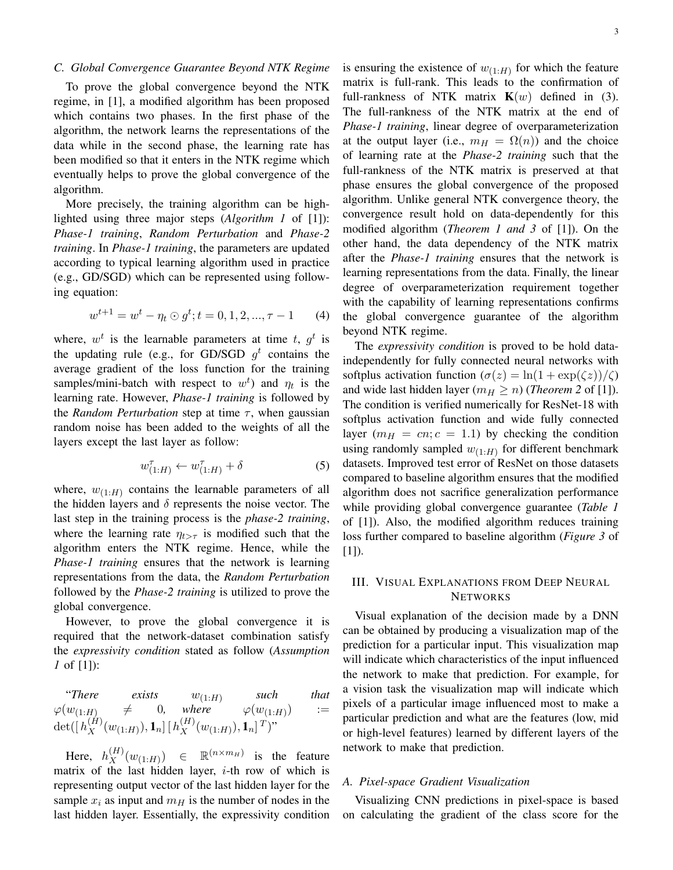## *C. Global Convergence Guarantee Beyond NTK Regime*

To prove the global convergence beyond the NTK regime, in [1], a modified algorithm has been proposed which contains two phases. In the first phase of the algorithm, the network learns the representations of the data while in the second phase, the learning rate has been modified so that it enters in the NTK regime which eventually helps to prove the global convergence of the algorithm.

More precisely, the training algorithm can be highlighted using three major steps (*Algorithm 1* of [1]): *Phase-1 training*, *Random Perturbation* and *Phase-2 training*. In *Phase-1 training*, the parameters are updated according to typical learning algorithm used in practice (e.g., GD/SGD) which can be represented using following equation:

$$
w^{t+1} = w^t - \eta_t \odot g^t; t = 0, 1, 2, ..., \tau - 1 \tag{4}
$$

where,  $w^t$  is the learnable parameters at time t,  $g^t$  is the updating rule (e.g., for GD/SGD  $g^t$  contains the average gradient of the loss function for the training samples/mini-batch with respect to  $w^t$ ) and  $\eta_t$  is the learning rate. However, *Phase-1 training* is followed by the *Random Perturbation* step at time  $\tau$ , when gaussian random noise has been added to the weights of all the layers except the last layer as follow:

$$
w_{(1:H)}^{\tau} \leftarrow w_{(1:H)}^{\tau} + \delta \tag{5}
$$

where,  $w_{(1:H)}$  contains the learnable parameters of all the hidden layers and  $\delta$  represents the noise vector. The last step in the training process is the *phase-2 training*, where the learning rate  $\eta_{t>\tau}$  is modified such that the algorithm enters the NTK regime. Hence, while the *Phase-1 training* ensures that the network is learning representations from the data, the *Random Perturbation* followed by the *Phase-2 training* is utilized to prove the global convergence.

However, to prove the global convergence it is required that the network-dataset combination satisfy the *expressivity condition* stated as follow (*Assumption 1* of [1]):

"There exists 
$$
w_{(1:H)}
$$
 such that  
\n $\varphi(w_{(1:H)} \neq 0$ , where  $\varphi(w_{(1:H)}) :=$   
\n $\det([h_X^{(H)}(w_{(1:H)}), \mathbf{1}_n][h_X^{(H)}(w_{(1:H)}), \mathbf{1}_n]^T)^"$ 

Here,  $h_X^{(H)}(w_{(1:H)})$   $\in \mathbb{R}^{(n \times m_H)}$  is the feature matrix of the last hidden layer,  $i$ -th row of which is representing output vector of the last hidden layer for the sample  $x_i$  as input and  $m_H$  is the number of nodes in the last hidden layer. Essentially, the expressivity condition

is ensuring the existence of  $w_{(1:H)}$  for which the feature matrix is full-rank. This leads to the confirmation of full-rankness of NTK matrix  $K(w)$  defined in (3). The full-rankness of the NTK matrix at the end of *Phase-1 training*, linear degree of overparameterization at the output layer (i.e.,  $m_H = \Omega(n)$ ) and the choice of learning rate at the *Phase-2 training* such that the full-rankness of the NTK matrix is preserved at that phase ensures the global convergence of the proposed algorithm. Unlike general NTK convergence theory, the convergence result hold on data-dependently for this modified algorithm (*Theorem 1 and 3* of [1]). On the other hand, the data dependency of the NTK matrix after the *Phase-1 training* ensures that the network is learning representations from the data. Finally, the linear degree of overparameterization requirement together with the capability of learning representations confirms the global convergence guarantee of the algorithm beyond NTK regime.

The *expressivity condition* is proved to be hold dataindependently for fully connected neural networks with softplus activation function  $(\sigma(z) = \ln(1 + \exp(\zeta z))/\zeta)$ and wide last hidden layer ( $m_H \ge n$ ) (*Theorem 2* of [1]). The condition is verified numerically for ResNet-18 with softplus activation function and wide fully connected layer  $(m_H = cn; c = 1.1)$  by checking the condition using randomly sampled  $w_{(1:H)}$  for different benchmark datasets. Improved test error of ResNet on those datasets compared to baseline algorithm ensures that the modified algorithm does not sacrifice generalization performance while providing global convergence guarantee (*Table 1* of [1]). Also, the modified algorithm reduces training loss further compared to baseline algorithm (*Figure 3* of  $[1]$ ).

## III. VISUAL EXPLANATIONS FROM DEEP NEURAL **NETWORKS**

Visual explanation of the decision made by a DNN can be obtained by producing a visualization map of the prediction for a particular input. This visualization map will indicate which characteristics of the input influenced the network to make that prediction. For example, for a vision task the visualization map will indicate which pixels of a particular image influenced most to make a particular prediction and what are the features (low, mid or high-level features) learned by different layers of the network to make that prediction.

## *A. Pixel-space Gradient Visualization*

Visualizing CNN predictions in pixel-space is based on calculating the gradient of the class score for the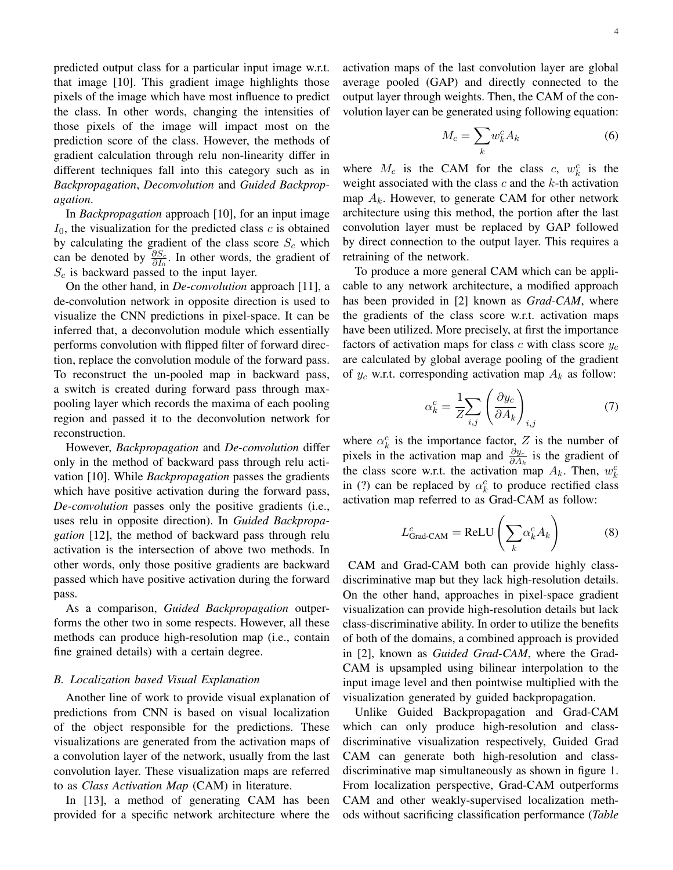predicted output class for a particular input image w.r.t. that image [10]. This gradient image highlights those pixels of the image which have most influence to predict the class. In other words, changing the intensities of those pixels of the image will impact most on the prediction score of the class. However, the methods of gradient calculation through relu non-linearity differ in different techniques fall into this category such as in *Backpropagation*, *Deconvolution* and *Guided Backpropagation*.

In *Backpropagation* approach [10], for an input image  $I_0$ , the visualization for the predicted class c is obtained by calculating the gradient of the class score  $S_c$  which can be denoted by  $\frac{\partial S_c}{\partial I_0}$ . In other words, the gradient of  $S_c$  is backward passed to the input layer.

On the other hand, in *De-convolution* approach [11], a de-convolution network in opposite direction is used to visualize the CNN predictions in pixel-space. It can be inferred that, a deconvolution module which essentially performs convolution with flipped filter of forward direction, replace the convolution module of the forward pass. To reconstruct the un-pooled map in backward pass, a switch is created during forward pass through maxpooling layer which records the maxima of each pooling region and passed it to the deconvolution network for reconstruction.

However, *Backpropagation* and *De-convolution* differ only in the method of backward pass through relu activation [10]. While *Backpropagation* passes the gradients which have positive activation during the forward pass, *De-convolution* passes only the positive gradients (i.e., uses relu in opposite direction). In *Guided Backpropagation* [12], the method of backward pass through relu activation is the intersection of above two methods. In other words, only those positive gradients are backward passed which have positive activation during the forward pass.

As a comparison, *Guided Backpropagation* outperforms the other two in some respects. However, all these methods can produce high-resolution map (i.e., contain fine grained details) with a certain degree.

#### *B. Localization based Visual Explanation*

Another line of work to provide visual explanation of predictions from CNN is based on visual localization of the object responsible for the predictions. These visualizations are generated from the activation maps of a convolution layer of the network, usually from the last convolution layer. These visualization maps are referred to as *Class Activation Map* (CAM) in literature.

In [13], a method of generating CAM has been provided for a specific network architecture where the activation maps of the last convolution layer are global average pooled (GAP) and directly connected to the output layer through weights. Then, the CAM of the convolution layer can be generated using following equation:

$$
M_c = \sum_k w_k^c A_k \tag{6}
$$

where  $M_c$  is the CAM for the class  $c, w_k^c$  is the weight associated with the class  $c$  and the  $k$ -th activation map  $A_k$ . However, to generate CAM for other network architecture using this method, the portion after the last convolution layer must be replaced by GAP followed by direct connection to the output layer. This requires a retraining of the network.

To produce a more general CAM which can be applicable to any network architecture, a modified approach has been provided in [2] known as *Grad-CAM*, where the gradients of the class score w.r.t. activation maps have been utilized. More precisely, at first the importance factors of activation maps for class c with class score  $y_c$ are calculated by global average pooling of the gradient of  $y_c$  w.r.t. corresponding activation map  $A_k$  as follow:

$$
\alpha_k^c = \frac{1}{Z} \sum_{i,j} \left( \frac{\partial y_c}{\partial A_k} \right)_{i,j} \tag{7}
$$

where  $\alpha_k^c$  is the importance factor, Z is the number of pixels in the activation map and  $\frac{\partial y_c}{\partial A_k}$  is the gradient of the class score w.r.t. the activation map  $A_k$ . Then,  $w_k^c$ in (?) can be replaced by  $\alpha_k^c$  to produce rectified class activation map referred to as Grad-CAM as follow:

$$
L_{\text{Grad-CAM}}^c = \text{ReLU}\left(\sum_k \alpha_k^c A_k\right) \tag{8}
$$

CAM and Grad-CAM both can provide highly classdiscriminative map but they lack high-resolution details. On the other hand, approaches in pixel-space gradient visualization can provide high-resolution details but lack class-discriminative ability. In order to utilize the benefits of both of the domains, a combined approach is provided in [2], known as *Guided Grad-CAM*, where the Grad-CAM is upsampled using bilinear interpolation to the input image level and then pointwise multiplied with the visualization generated by guided backpropagation.

Unlike Guided Backpropagation and Grad-CAM which can only produce high-resolution and classdiscriminative visualization respectively, Guided Grad CAM can generate both high-resolution and classdiscriminative map simultaneously as shown in figure 1. From localization perspective, Grad-CAM outperforms CAM and other weakly-supervised localization methods without sacrificing classification performance (*Table*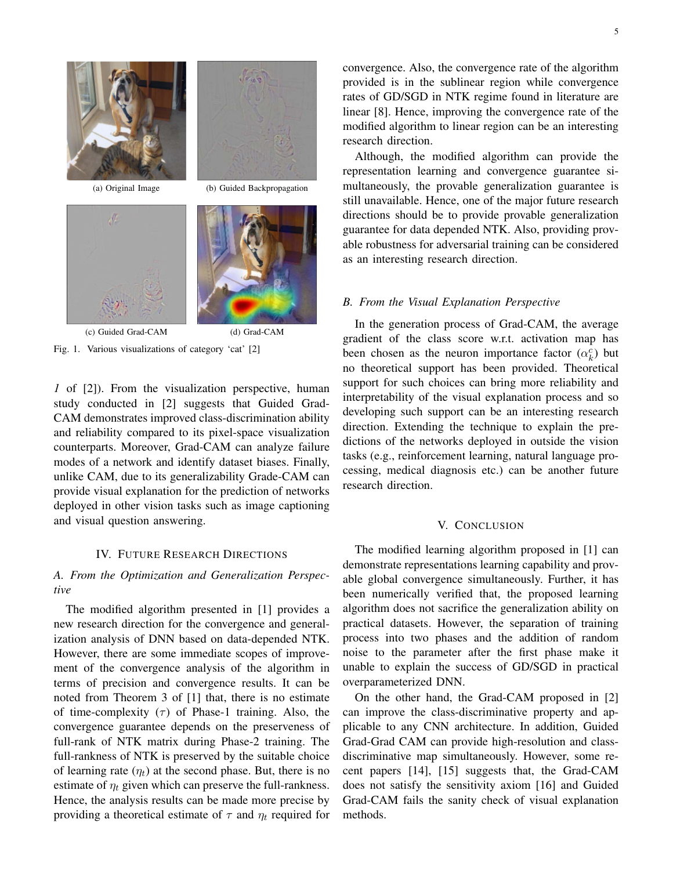







Fig. 1. Various visualizations of category 'cat' [2]

*1* of [2]). From the visualization perspective, human study conducted in [2] suggests that Guided Grad-CAM demonstrates improved class-discrimination ability and reliability compared to its pixel-space visualization counterparts. Moreover, Grad-CAM can analyze failure modes of a network and identify dataset biases. Finally, unlike CAM, due to its generalizability Grade-CAM can provide visual explanation for the prediction of networks deployed in other vision tasks such as image captioning and visual question answering.

### IV. FUTURE RESEARCH DIRECTIONS

# *A. From the Optimization and Generalization Perspective*

The modified algorithm presented in [1] provides a new research direction for the convergence and generalization analysis of DNN based on data-depended NTK. However, there are some immediate scopes of improvement of the convergence analysis of the algorithm in terms of precision and convergence results. It can be noted from Theorem 3 of [1] that, there is no estimate of time-complexity  $(\tau)$  of Phase-1 training. Also, the convergence guarantee depends on the preserveness of full-rank of NTK matrix during Phase-2 training. The full-rankness of NTK is preserved by the suitable choice of learning rate  $(\eta_t)$  at the second phase. But, there is no estimate of  $\eta_t$  given which can preserve the full-rankness. Hence, the analysis results can be made more precise by providing a theoretical estimate of  $\tau$  and  $\eta_t$  required for convergence. Also, the convergence rate of the algorithm provided is in the sublinear region while convergence rates of GD/SGD in NTK regime found in literature are linear [8]. Hence, improving the convergence rate of the modified algorithm to linear region can be an interesting research direction.

Although, the modified algorithm can provide the representation learning and convergence guarantee simultaneously, the provable generalization guarantee is still unavailable. Hence, one of the major future research directions should be to provide provable generalization guarantee for data depended NTK. Also, providing provable robustness for adversarial training can be considered as an interesting research direction.

# *B. From the Visual Explanation Perspective*

In the generation process of Grad-CAM, the average gradient of the class score w.r.t. activation map has been chosen as the neuron importance factor  $(\alpha_k^c)$  but no theoretical support has been provided. Theoretical support for such choices can bring more reliability and interpretability of the visual explanation process and so developing such support can be an interesting research direction. Extending the technique to explain the predictions of the networks deployed in outside the vision tasks (e.g., reinforcement learning, natural language processing, medical diagnosis etc.) can be another future research direction.

# V. CONCLUSION

The modified learning algorithm proposed in [1] can demonstrate representations learning capability and provable global convergence simultaneously. Further, it has been numerically verified that, the proposed learning algorithm does not sacrifice the generalization ability on practical datasets. However, the separation of training process into two phases and the addition of random noise to the parameter after the first phase make it unable to explain the success of GD/SGD in practical overparameterized DNN.

On the other hand, the Grad-CAM proposed in [2] can improve the class-discriminative property and applicable to any CNN architecture. In addition, Guided Grad-Grad CAM can provide high-resolution and classdiscriminative map simultaneously. However, some recent papers [14], [15] suggests that, the Grad-CAM does not satisfy the sensitivity axiom [16] and Guided Grad-CAM fails the sanity check of visual explanation methods.